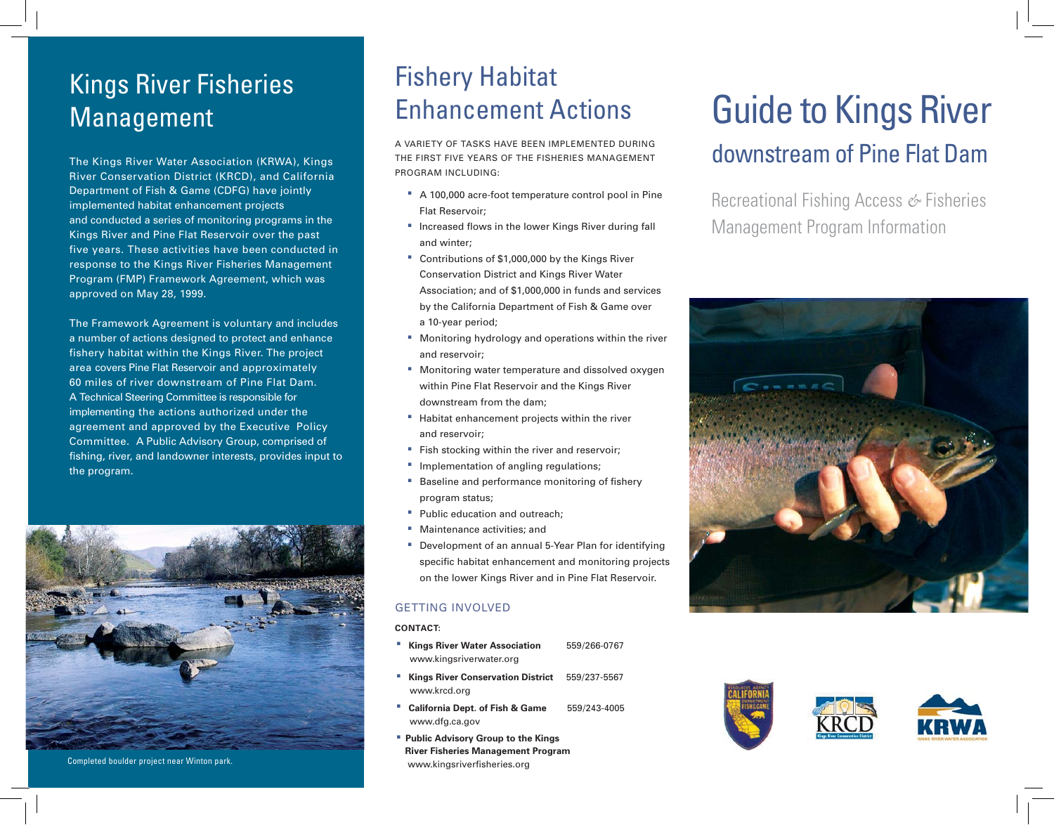## Kings River Fisheries Management

The Kings River Water Association (KRWA), Kings River Conservation District (KRCD), and California Department of Fish & Game (CDFG) have jointly implemented habitat enhancement projects and conducted a series of monitoring programs in the Kings River and Pine Flat Reservoir over the past five years. These activities have been conducted in response to the Kings River Fisheries Management Program (FMP) Framework Agreement, which was approved on May 28, 1999.

The Framework Agreement is voluntary and includes a number of actions designed to protect and enhance fishery habitat within the Kings River. The project area covers Pine Flat Reservoir and approximately 60 miles of river downstream of Pine Flat Dam. A Technical Steering Committee is responsible for implementing the actions authorized under the agreement and approved by the Executive Policy Committee. A Public Advisory Group, comprised of fishing, river, and landowner interests, provides input to the program.



Completed boulder project near Winton park.

## Fishery Habitat Enhancement Actions

A VARIETY OF TASKS HAVE BEEN IMPLEMENTED DURING THE FIRST FIVE YEARS OF THE FISHERIES MANAGEMENT PROGRAM INCLUDING:

- · A 100,000 acre-foot temperature control pool in Pine Flat Reservoir;
- **Increased flows in the lower Kings River during fall** and winter;
- · Contributions of \$1,000,000 by the Kings River Conservation District and Kings River Water Association; and of \$1,000,000 in funds and services by the California Department of Fish & Game over a 10-year period;
- · Monitoring hydrology and operations within the river and reservoir;
- · Monitoring water temperature and dissolved oxygen within Pine Flat Reservoir and the Kings River downstream from the dam;
- · Habitat enhancement projects within the river and reservoir;
- · Fish stocking within the river and reservoir;
- · Implementation of angling regulations;
- **Baseline and performance monitoring of fishery** program status;
- **Public education and outreach;**
- · Maintenance activities; and
- · Development of an annual 5-Year Plan for identifying specific habitat enhancement and monitoring projects on the lower Kings River and in Pine Flat Reservoir.

#### GETTING INVOLVED

#### **CONTACT:**

- · **Kings River Water Association** 559/266-0767 www.kingsriverwater.org
- · **Kings River Conservation District** 559/237-5567 www.krcd.org
- · **California Dept. of Fish & Game** 559/243-4005 www.dfg.ca.gov
- · **Public Advisory Group to the Kings River Fisheries Management Program**  www.kingsriverfisheries.org

# Guide to Kings River

### downstream of Pine Flat Dam

Recreational Fishing Access *&* Fisheries Management Program Information





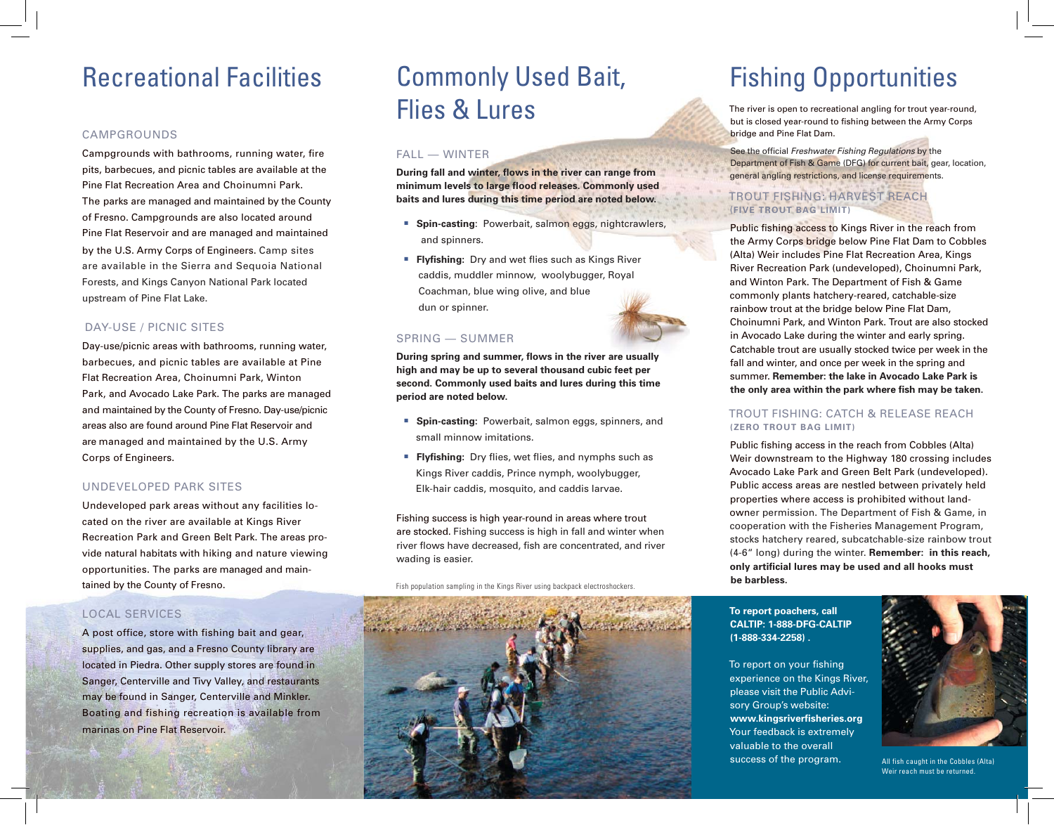## Recreational Facilities

#### CAMPGROUNDS

Campgrounds with bathrooms, running water, fire pits, barbecues, and picnic tables are available at the Pine Flat Recreation Area and Choinumni Park. The parks are managed and maintained by the County of Fresno. Campgrounds are also located around Pine Flat Reservoir and are managed and maintained by the U.S. Army Corps of Engineers. Camp sites are available in the Sierra and Sequoia National Forests, and Kings Canyon National Park located upstream of Pine Flat Lake.

#### DAY-USE / PICNIC SITES

Day-use/picnic areas with bathrooms, running water, barbecues, and picnic tables are available at Pine Flat Recreation Area, Choinumni Park, Winton Park, and Avocado Lake Park. The parks are managed and maintained by the County of Fresno. Day-use/picnic areas also are found around Pine Flat Reservoir and are managed and maintained by the U.S. Army Corps of Engineers.

#### UNDEVELOPED PARK SITES

Undeveloped park areas without any facilities located on the river are available at Kings River Recreation Park and Green Belt Park. The areas provide natural habitats with hiking and nature viewing opportunities. The parks are managed and maintained by the County of Fresno.

#### LOCAL SERVICES

A post office, store with fishing bait and gear, supplies, and gas, and a Fresno County library are located in Piedra. Other supply stores are found in Sanger, Centerville and Tivy Valley, and restaurants may be found in Sanger, Centerville and Minkler. Boating and fishing recreation is available from marinas on Pine Flat Reservoir.

## Commonly Used Bait, Flies & Lures

#### FALL — WINTER

**During fall and winter, flows in the river can range from** minimum levels to large flood releases. Commonly used **baits and lures during this time period are noted below.**

- · **Spin-casting**: Powerbait, salmon eggs, nightcrawlers, and spinners.
- **Flyfishing:** Dry and wet flies such as Kings River caddis, muddler minnow, woolybugger, Royal Coachman, blue wing olive, and blue dun or spinner.

#### SPRING — SUMMER

**During spring and summer, flows in the river are usually high and may be up to several thousand cubic feet per second. Commonly used baits and lures during this time period are noted below.**

- · **Spin-casting:** Powerbait, salmon eggs, spinners, and small minnow imitations.
- **Flyfishing:** Dry flies, wet flies, and nymphs such as Kings River caddis, Prince nymph, woolybugger, Elk-hair caddis, mosquito, and caddis larvae.

Fishing success is high year-round in areas where trout are stocked. Fishing success is high in fall and winter when river flows have decreased, fish are concentrated, and river wading is easier.

Fish population sampling in the Kings River using backpack electroshockers.



## Fishing Opportunities

The river is open to recreational angling for trout year-round, but is closed year-round to fishing between the Army Corps bridge and Pine Flat Dam.

See the official *Freshwater Fishing Regulations* by the Department of Fish & Game (DFG) for current bait, gear, location, general angling restrictions, and license requirements.

#### TROUT FISHING: HARVEST REACH(**FIVE TROUT BAG LIMIT)**

Public fishing access to Kings River in the reach from the Army Corps bridge below Pine Flat Dam to Cobbles (Alta) Weir includes Pine Flat Recreation Area, Kings River Recreation Park (undeveloped), Choinumni Park, and Winton Park. The Department of Fish & Game commonly plants hatchery-reared, catchable-size rainbow trout at the bridge below Pine Flat Dam, Choinumni Park, and Winton Park. Trout are also stocked in Avocado Lake during the winter and early spring. Catchable trout are usually stocked twice per week in the fall and winter, and once per week in the spring and summer. **Remember: the lake in Avocado Lake Park is** the only area within the park where fish may be taken.

#### TROUT FISHING: CATCH & RELEASE REACH**(ZERO TROUT BAG LIMIT)**

Public fishing access in the reach from Cobbles (Alta) Weir downstream to the Highway 180 crossing includes Avocado Lake Park and Green Belt Park (undeveloped). Public access areas are nestled between privately held properties where access is prohibited without landowner permission. The Department of Fish & Game, in cooperation with the Fisheries Management Program, stocks hatchery reared, subcatchable-size rainbow trout (4-6" long) during the winter. **Remember: in this reach,**  only artificial lures may be used and all hooks must **be barbless.** 

#### **To report poachers, call CALTIP: 1-888-DFG-CALTIP (1-888-334-2258) .**

To report on your fishing experience on the Kings River, please visit the Public Advisory Group's website: **www.kingsriverfi sheries.org**  Your feedback is extremely valuable to the overall success of the program.



All fish caught in the Cobbles (Alta) Weir reach must be returned.